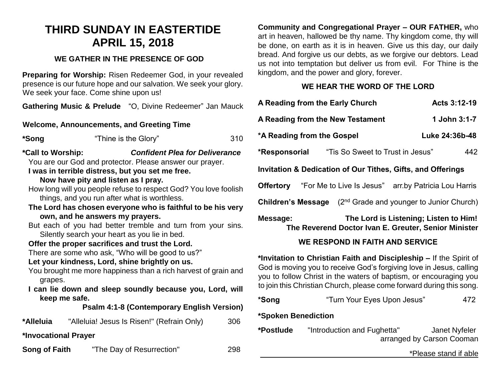# **THIRD SUNDAY IN EASTERTIDE APRIL 15, 2018**

# **WE GATHER IN THE PRESENCE OF GOD**

**Preparing for Worship:** Risen Redeemer God, in your revealed presence is our future hope and our salvation. We seek your glory. We seek your face. Come shine upon us!

**Gathering Music & Prelude** "O, Divine Redeemer" Jan Mauck

# **Welcome, Announcements, and Greeting Time**

| *Song | "Thine is the Glory" | 310 |
|-------|----------------------|-----|
|-------|----------------------|-----|

# **\*Call to Worship:** *Confident Plea for Deliverance*

You are our God and protector. Please answer our prayer.

# **I was in terrible distress, but you set me free.**

#### **Now have pity and listen as I pray.**

- How long will you people refuse to respect God? You love foolish things, and you run after what is worthless.
- **The Lord has chosen everyone who is faithful to be his very own, and he answers my prayers.**
- But each of you had better tremble and turn from your sins. Silently search your heart as you lie in bed.

## **Offer the proper sacrifices and trust the Lord.**

There are some who ask, "Who will be good to us?"

## **Let your kindness, Lord, shine brightly on us.**

- You brought me more happiness than a rich harvest of grain and grapes.
- **I can lie down and sleep soundly because you, Lord, will keep me safe.**

**Psalm 4:1-8 (Contemporary English Version)**

**\*Alleluia** "Alleluia! Jesus Is Risen!" (Refrain Only) 306

**\*Invocational Prayer**

**Song of Faith** "The Day of Resurrection" 298

**Community and Congregational Prayer – OUR FATHER,** who art in heaven, hallowed be thy name. Thy kingdom come, thy will be done, on earth as it is in heaven. Give us this day, our daily bread. And forgive us our debts, as we forgive our debtors. Lead us not into temptation but deliver us from evil. For Thine is the kingdom, and the power and glory, forever.

# **WE HEAR THE WORD OF THE LORD**

| A Reading from the Early Church                                                                                                           | Acts 3:12-19   |  |  |  |
|-------------------------------------------------------------------------------------------------------------------------------------------|----------------|--|--|--|
| A Reading from the New Testament                                                                                                          | 1 John 3:1-7   |  |  |  |
| *A Reading from the Gospel                                                                                                                | Luke 24:36b-48 |  |  |  |
| "Tis So Sweet to Trust in Jesus"<br>*Responsorial                                                                                         | 442            |  |  |  |
| Invitation & Dedication of Our Tithes, Gifts, and Offerings                                                                               |                |  |  |  |
| <b>Offertory</b> "For Me to Live Is Jesus" arr.by Patricia Lou Harris                                                                     |                |  |  |  |
| <b>Children's Message</b> $(2^{nd}$ Grade and younger to Junior Church)                                                                   |                |  |  |  |
| The Lord is Listening; Listen to Him!<br>Message:<br>The Reverend Doctor Ivan E. Greuter, Senior Minister                                 |                |  |  |  |
| <b>WE RESPOND IN FAITH AND SERVICE</b>                                                                                                    |                |  |  |  |
| *Invitation to Christian Faith and Discipleship - If the Spirit of<br>God is moving you to receive God's forgiving love in Jesus, calling |                |  |  |  |

you to follow Christ in the waters of baptism, or encouraging you to join this Christian Church, please come forward during this song.

| *Song | "Turn Your Eyes Upon Jesus" | 472 |
|-------|-----------------------------|-----|
|-------|-----------------------------|-----|

## **\*Spoken Benediction**

**\*Postlude** "Introduction and Fughetta" Janet Nyfeler arranged by Carson Cooman

\*Please stand if able